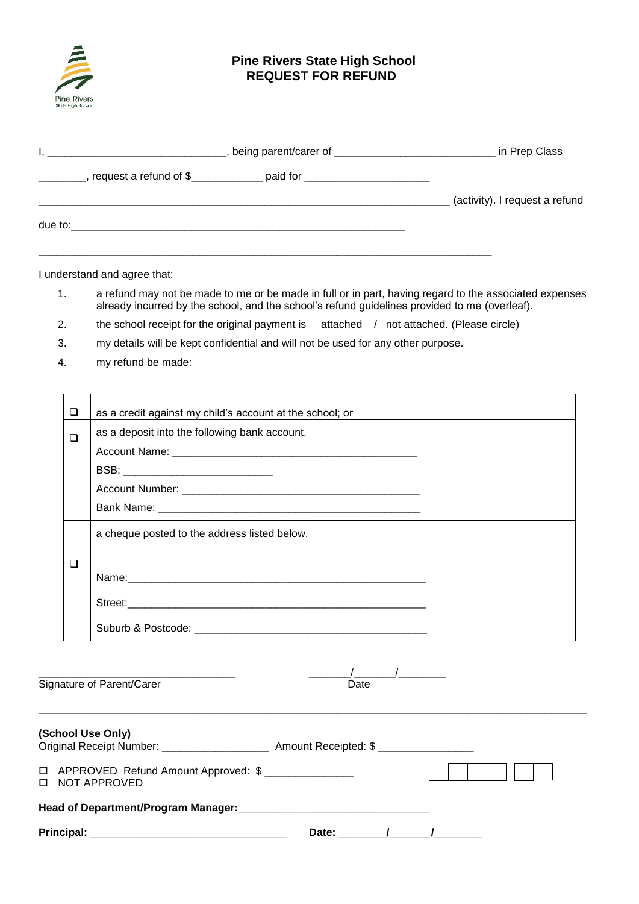

## **Pine Rivers State High School REQUEST FOR REFUND**

| the contract of the contract of the contract of the contract of the contract of | in Prep Class                  |
|---------------------------------------------------------------------------------|--------------------------------|
|                                                                                 |                                |
|                                                                                 | (activity). I request a refund |
| due to:                                                                         |                                |
|                                                                                 |                                |

I understand and agree that:

- 1. a refund may not be made to me or be made in full or in part, having regard to the associated expenses already incurred by the school, and the school's refund guidelines provided to me (overleaf).
- 2. the school receipt for the original payment is attached / not attached. (Please circle)
- 3. my details will be kept confidential and will not be used for any other purpose.
- 4. my refund be made:

| as a credit against my child's account at the school; or |                           |
|----------------------------------------------------------|---------------------------|
| as a deposit into the following bank account.            |                           |
|                                                          |                           |
| BSB: _________________________________                   |                           |
|                                                          |                           |
|                                                          |                           |
| a cheque posted to the address listed below.             |                           |
|                                                          |                           |
|                                                          |                           |
|                                                          |                           |
|                                                          |                           |
|                                                          |                           |
|                                                          |                           |
| Date                                                     |                           |
| ❏<br>$\Box$<br>❏                                         | Signature of Parent/Carer |

| (School Use Only)<br>Original Receipt Number: 2008                          | Amount Receipted: \$ |  |
|-----------------------------------------------------------------------------|----------------------|--|
| □ APPROVED Refund Amount Approved: \$ _______________<br>NOT APPROVED<br>п. |                      |  |
| Head of Department/Program Manager:                                         |                      |  |
| <b>Principal:</b>                                                           | Date:                |  |

**\_\_\_\_\_\_\_\_\_\_\_\_\_\_\_\_\_\_\_\_\_\_\_\_\_\_\_\_\_\_\_\_\_\_\_\_\_\_\_\_\_\_\_\_\_\_\_\_\_\_\_\_\_\_\_\_\_\_\_\_\_\_\_\_\_\_\_\_\_\_\_\_\_\_\_\_\_\_\_\_\_\_\_\_\_\_\_\_\_\_\_\_**